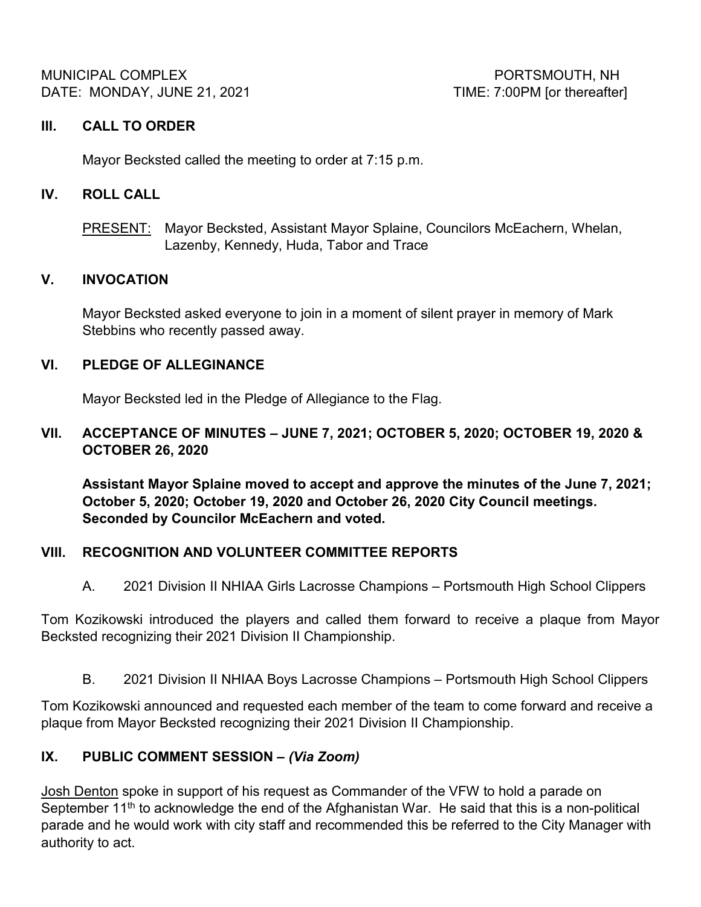MUNICIPAL COMPLEX PORTSMOUTH, NH DATE: MONDAY, JUNE 21, 2021 CONDUCTER STATE: 7:00PM [or thereafter]

#### **III. CALL TO ORDER**

Mayor Becksted called the meeting to order at 7:15 p.m.

#### **IV. ROLL CALL**

PRESENT: Mayor Becksted, Assistant Mayor Splaine, Councilors McEachern, Whelan, Lazenby, Kennedy, Huda, Tabor and Trace

#### **V. INVOCATION**

Mayor Becksted asked everyone to join in a moment of silent prayer in memory of Mark Stebbins who recently passed away.

#### **VI. PLEDGE OF ALLEGINANCE**

Mayor Becksted led in the Pledge of Allegiance to the Flag.

### **VII. ACCEPTANCE OF MINUTES – JUNE 7, 2021; OCTOBER 5, 2020; OCTOBER 19, 2020 & OCTOBER 26, 2020**

**Assistant Mayor Splaine moved to accept and approve the minutes of the June 7, 2021; October 5, 2020; October 19, 2020 and October 26, 2020 City Council meetings. Seconded by Councilor McEachern and voted.**

### **VIII. RECOGNITION AND VOLUNTEER COMMITTEE REPORTS**

A. 2021 Division II NHIAA Girls Lacrosse Champions – Portsmouth High School Clippers

Tom Kozikowski introduced the players and called them forward to receive a plaque from Mayor Becksted recognizing their 2021 Division II Championship.

B. 2021 Division II NHIAA Boys Lacrosse Champions – Portsmouth High School Clippers

Tom Kozikowski announced and requested each member of the team to come forward and receive a plaque from Mayor Becksted recognizing their 2021 Division II Championship.

### **IX. PUBLIC COMMENT SESSION –** *(Via Zoom)*

Josh Denton spoke in support of his request as Commander of the VFW to hold a parade on September  $11<sup>th</sup>$  to acknowledge the end of the Afghanistan War. He said that this is a non-political parade and he would work with city staff and recommended this be referred to the City Manager with authority to act.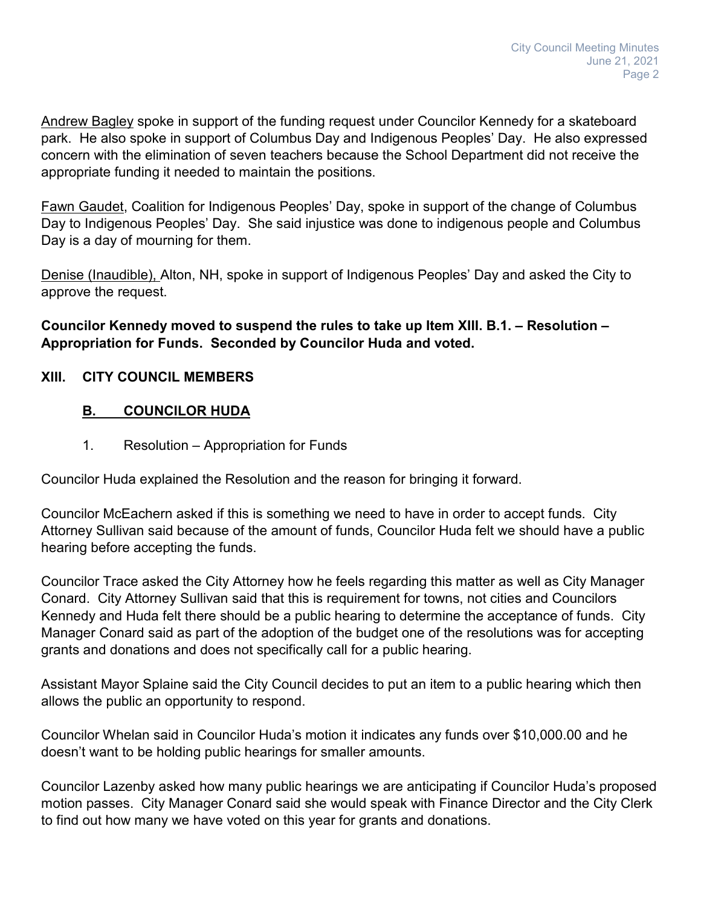Andrew Bagley spoke in support of the funding request under Councilor Kennedy for a skateboard park. He also spoke in support of Columbus Day and Indigenous Peoples' Day. He also expressed concern with the elimination of seven teachers because the School Department did not receive the appropriate funding it needed to maintain the positions.

Fawn Gaudet, Coalition for Indigenous Peoples' Day, spoke in support of the change of Columbus Day to Indigenous Peoples' Day. She said injustice was done to indigenous people and Columbus Day is a day of mourning for them.

Denise (Inaudible), Alton, NH, spoke in support of Indigenous Peoples' Day and asked the City to approve the request.

**Councilor Kennedy moved to suspend the rules to take up Item XIII. B.1. – Resolution – Appropriation for Funds. Seconded by Councilor Huda and voted.**

### **XIII. CITY COUNCIL MEMBERS**

# **B. COUNCILOR HUDA**

1. Resolution – Appropriation for Funds

Councilor Huda explained the Resolution and the reason for bringing it forward.

Councilor McEachern asked if this is something we need to have in order to accept funds. City Attorney Sullivan said because of the amount of funds, Councilor Huda felt we should have a public hearing before accepting the funds.

Councilor Trace asked the City Attorney how he feels regarding this matter as well as City Manager Conard. City Attorney Sullivan said that this is requirement for towns, not cities and Councilors Kennedy and Huda felt there should be a public hearing to determine the acceptance of funds. City Manager Conard said as part of the adoption of the budget one of the resolutions was for accepting grants and donations and does not specifically call for a public hearing.

Assistant Mayor Splaine said the City Council decides to put an item to a public hearing which then allows the public an opportunity to respond.

Councilor Whelan said in Councilor Huda's motion it indicates any funds over \$10,000.00 and he doesn't want to be holding public hearings for smaller amounts.

Councilor Lazenby asked how many public hearings we are anticipating if Councilor Huda's proposed motion passes. City Manager Conard said she would speak with Finance Director and the City Clerk to find out how many we have voted on this year for grants and donations.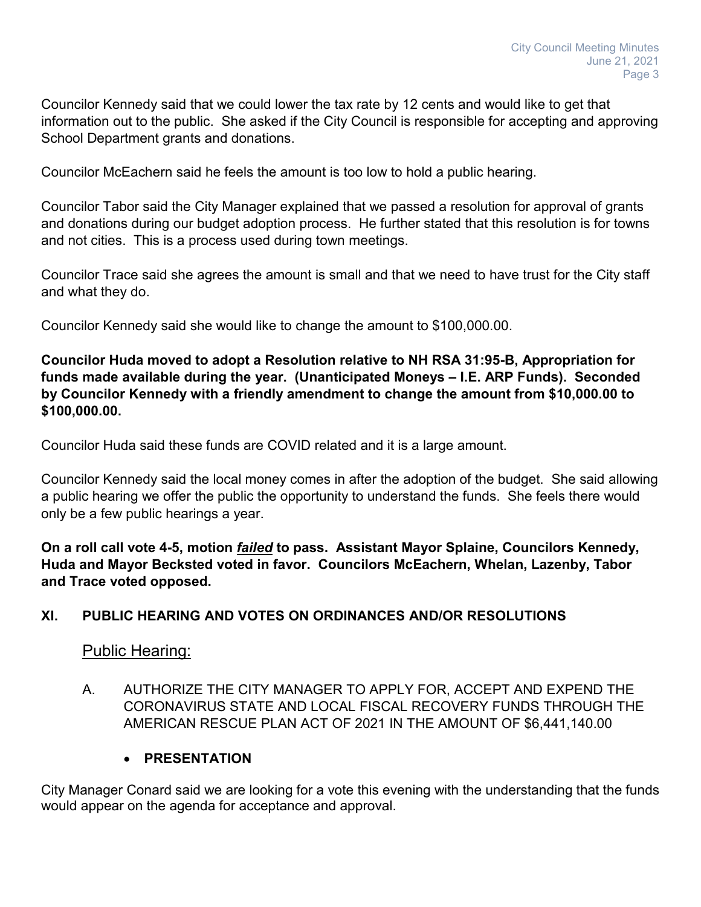Councilor Kennedy said that we could lower the tax rate by 12 cents and would like to get that information out to the public. She asked if the City Council is responsible for accepting and approving School Department grants and donations.

Councilor McEachern said he feels the amount is too low to hold a public hearing.

Councilor Tabor said the City Manager explained that we passed a resolution for approval of grants and donations during our budget adoption process. He further stated that this resolution is for towns and not cities. This is a process used during town meetings.

Councilor Trace said she agrees the amount is small and that we need to have trust for the City staff and what they do.

Councilor Kennedy said she would like to change the amount to \$100,000.00.

**Councilor Huda moved to adopt a Resolution relative to NH RSA 31:95-B, Appropriation for funds made available during the year. (Unanticipated Moneys – I.E. ARP Funds). Seconded by Councilor Kennedy with a friendly amendment to change the amount from \$10,000.00 to \$100,000.00.**

Councilor Huda said these funds are COVID related and it is a large amount.

Councilor Kennedy said the local money comes in after the adoption of the budget. She said allowing a public hearing we offer the public the opportunity to understand the funds. She feels there would only be a few public hearings a year.

**On a roll call vote 4-5, motion** *failed* **to pass. Assistant Mayor Splaine, Councilors Kennedy, Huda and Mayor Becksted voted in favor. Councilors McEachern, Whelan, Lazenby, Tabor and Trace voted opposed.**

### **XI. PUBLIC HEARING AND VOTES ON ORDINANCES AND/OR RESOLUTIONS**

Public Hearing:

A. AUTHORIZE THE CITY MANAGER TO APPLY FOR, ACCEPT AND EXPEND THE CORONAVIRUS STATE AND LOCAL FISCAL RECOVERY FUNDS THROUGH THE AMERICAN RESCUE PLAN ACT OF 2021 IN THE AMOUNT OF \$6,441,140.00

### • **PRESENTATION**

City Manager Conard said we are looking for a vote this evening with the understanding that the funds would appear on the agenda for acceptance and approval.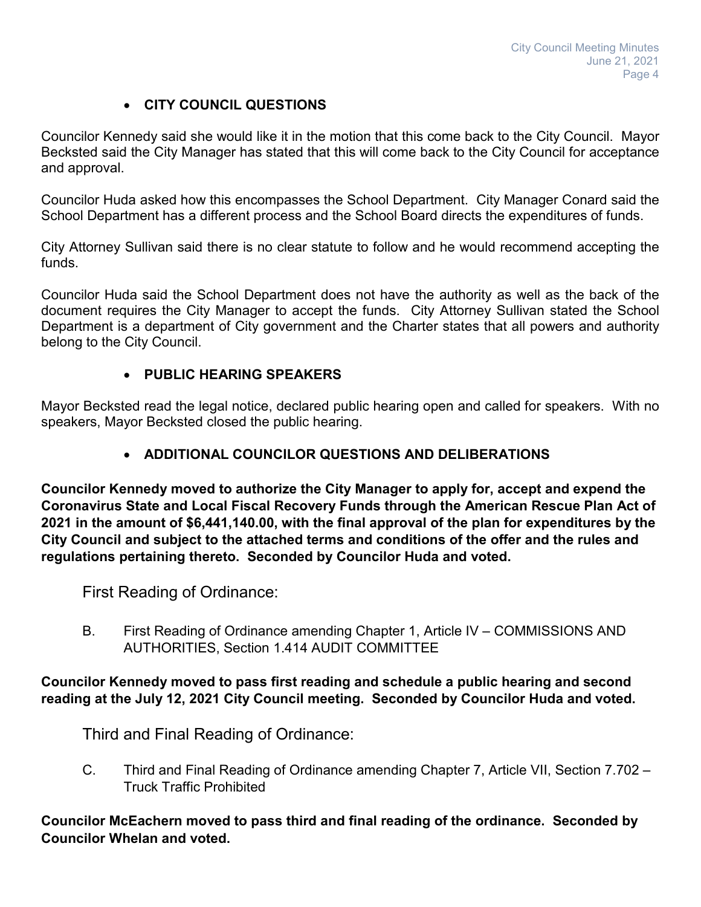# • **CITY COUNCIL QUESTIONS**

Councilor Kennedy said she would like it in the motion that this come back to the City Council. Mayor Becksted said the City Manager has stated that this will come back to the City Council for acceptance and approval.

Councilor Huda asked how this encompasses the School Department. City Manager Conard said the School Department has a different process and the School Board directs the expenditures of funds.

City Attorney Sullivan said there is no clear statute to follow and he would recommend accepting the funds.

Councilor Huda said the School Department does not have the authority as well as the back of the document requires the City Manager to accept the funds. City Attorney Sullivan stated the School Department is a department of City government and the Charter states that all powers and authority belong to the City Council.

# • **PUBLIC HEARING SPEAKERS**

Mayor Becksted read the legal notice, declared public hearing open and called for speakers. With no speakers, Mayor Becksted closed the public hearing.

# • **ADDITIONAL COUNCILOR QUESTIONS AND DELIBERATIONS**

**Councilor Kennedy moved to authorize the City Manager to apply for, accept and expend the Coronavirus State and Local Fiscal Recovery Funds through the American Rescue Plan Act of 2021 in the amount of \$6,441,140.00, with the final approval of the plan for expenditures by the City Council and subject to the attached terms and conditions of the offer and the rules and regulations pertaining thereto. Seconded by Councilor Huda and voted.**

First Reading of Ordinance:

B. First Reading of Ordinance amending Chapter 1, Article IV – COMMISSIONS AND AUTHORITIES, Section 1.414 AUDIT COMMITTEE

#### **Councilor Kennedy moved to pass first reading and schedule a public hearing and second reading at the July 12, 2021 City Council meeting. Seconded by Councilor Huda and voted.**

Third and Final Reading of Ordinance:

C. Third and Final Reading of Ordinance amending Chapter 7, Article VII, Section 7.702 – Truck Traffic Prohibited

**Councilor McEachern moved to pass third and final reading of the ordinance. Seconded by Councilor Whelan and voted.**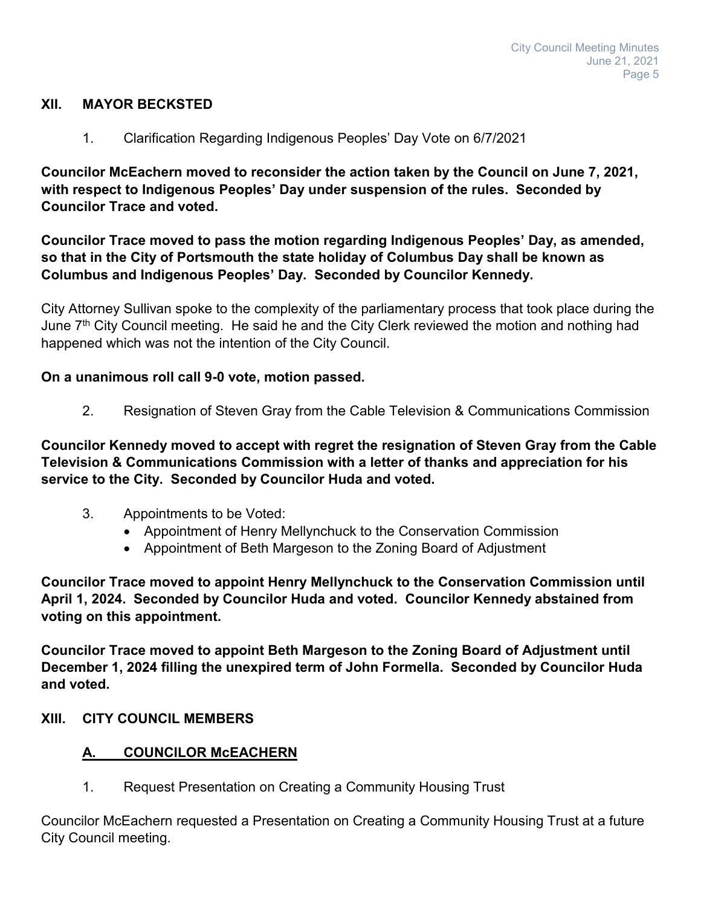#### **XII. MAYOR BECKSTED**

1. Clarification Regarding Indigenous Peoples' Day Vote on 6/7/2021

**Councilor McEachern moved to reconsider the action taken by the Council on June 7, 2021, with respect to Indigenous Peoples' Day under suspension of the rules. Seconded by Councilor Trace and voted.**

**Councilor Trace moved to pass the motion regarding Indigenous Peoples' Day, as amended, so that in the City of Portsmouth the state holiday of Columbus Day shall be known as Columbus and Indigenous Peoples' Day. Seconded by Councilor Kennedy.**

City Attorney Sullivan spoke to the complexity of the parliamentary process that took place during the June 7<sup>th</sup> City Council meeting. He said he and the City Clerk reviewed the motion and nothing had happened which was not the intention of the City Council.

#### **On a unanimous roll call 9-0 vote, motion passed.**

2. Resignation of Steven Gray from the Cable Television & Communications Commission

**Councilor Kennedy moved to accept with regret the resignation of Steven Gray from the Cable Television & Communications Commission with a letter of thanks and appreciation for his service to the City. Seconded by Councilor Huda and voted.**

- 3. Appointments to be Voted:
	- Appointment of Henry Mellynchuck to the Conservation Commission
	- Appointment of Beth Margeson to the Zoning Board of Adjustment

**Councilor Trace moved to appoint Henry Mellynchuck to the Conservation Commission until April 1, 2024. Seconded by Councilor Huda and voted. Councilor Kennedy abstained from voting on this appointment.**

**Councilor Trace moved to appoint Beth Margeson to the Zoning Board of Adjustment until December 1, 2024 filling the unexpired term of John Formella. Seconded by Councilor Huda and voted.**

#### **XIII. CITY COUNCIL MEMBERS**

### **A. COUNCILOR McEACHERN**

1. Request Presentation on Creating a Community Housing Trust

Councilor McEachern requested a Presentation on Creating a Community Housing Trust at a future City Council meeting.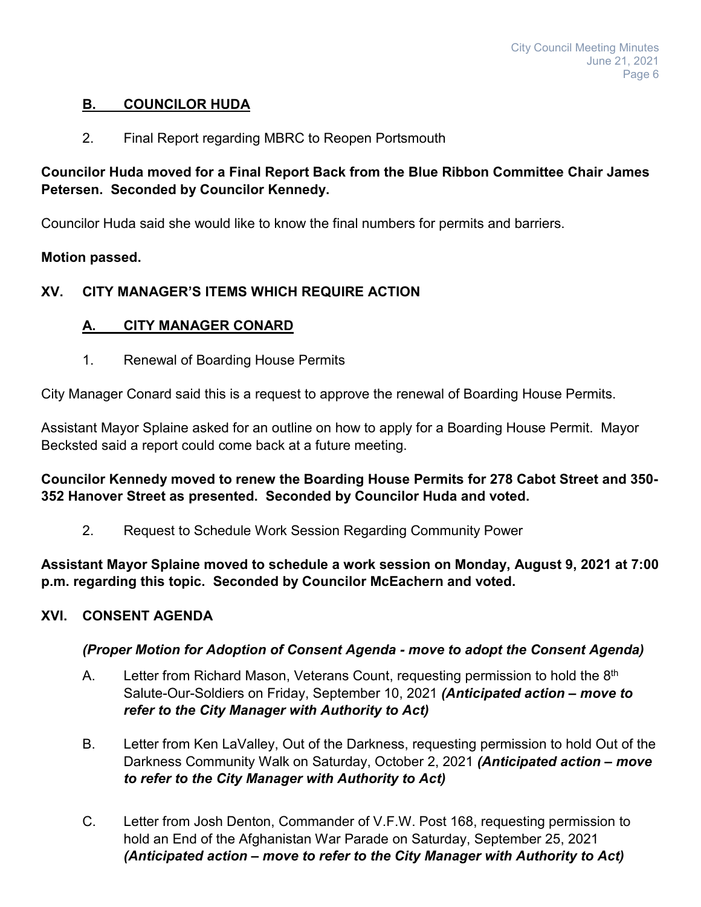# **B. COUNCILOR HUDA**

2. Final Report regarding MBRC to Reopen Portsmouth

# **Councilor Huda moved for a Final Report Back from the Blue Ribbon Committee Chair James Petersen. Seconded by Councilor Kennedy.**

Councilor Huda said she would like to know the final numbers for permits and barriers.

# **Motion passed.**

# **XV. CITY MANAGER'S ITEMS WHICH REQUIRE ACTION**

# **A. CITY MANAGER CONARD**

1. Renewal of Boarding House Permits

City Manager Conard said this is a request to approve the renewal of Boarding House Permits.

Assistant Mayor Splaine asked for an outline on how to apply for a Boarding House Permit. Mayor Becksted said a report could come back at a future meeting.

**Councilor Kennedy moved to renew the Boarding House Permits for 278 Cabot Street and 350- 352 Hanover Street as presented. Seconded by Councilor Huda and voted.**

2. Request to Schedule Work Session Regarding Community Power

**Assistant Mayor Splaine moved to schedule a work session on Monday, August 9, 2021 at 7:00 p.m. regarding this topic. Seconded by Councilor McEachern and voted.**

# **XVI. CONSENT AGENDA**

# *(Proper Motion for Adoption of Consent Agenda - move to adopt the Consent Agenda)*

- A. Letter from Richard Mason, Veterans Count, requesting permission to hold the 8<sup>th</sup> Salute-Our-Soldiers on Friday, September 10, 2021 *(Anticipated action – move to refer to the City Manager with Authority to Act)*
- B. Letter from Ken LaValley, Out of the Darkness, requesting permission to hold Out of the Darkness Community Walk on Saturday, October 2, 2021 *(Anticipated action – move to refer to the City Manager with Authority to Act)*
- C. Letter from Josh Denton, Commander of V.F.W. Post 168, requesting permission to hold an End of the Afghanistan War Parade on Saturday, September 25, 2021 *(Anticipated action – move to refer to the City Manager with Authority to Act)*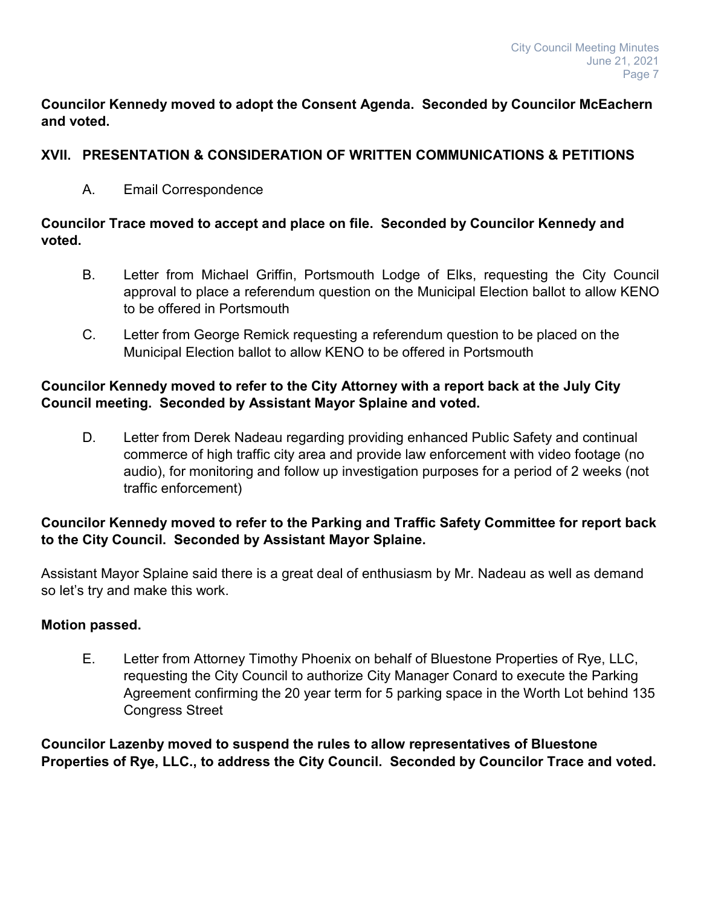**Councilor Kennedy moved to adopt the Consent Agenda. Seconded by Councilor McEachern and voted.**

### **XVII. PRESENTATION & CONSIDERATION OF WRITTEN COMMUNICATIONS & PETITIONS**

A. Email Correspondence

# **Councilor Trace moved to accept and place on file. Seconded by Councilor Kennedy and voted.**

- B. Letter from Michael Griffin, Portsmouth Lodge of Elks, requesting the City Council approval to place a referendum question on the Municipal Election ballot to allow KENO to be offered in Portsmouth
- C. Letter from George Remick requesting a referendum question to be placed on the Municipal Election ballot to allow KENO to be offered in Portsmouth

# **Councilor Kennedy moved to refer to the City Attorney with a report back at the July City Council meeting. Seconded by Assistant Mayor Splaine and voted.**

D. Letter from Derek Nadeau regarding providing enhanced Public Safety and continual commerce of high traffic city area and provide law enforcement with video footage (no audio), for monitoring and follow up investigation purposes for a period of 2 weeks (not traffic enforcement)

# **Councilor Kennedy moved to refer to the Parking and Traffic Safety Committee for report back to the City Council. Seconded by Assistant Mayor Splaine.**

Assistant Mayor Splaine said there is a great deal of enthusiasm by Mr. Nadeau as well as demand so let's try and make this work.

### **Motion passed.**

E. Letter from Attorney Timothy Phoenix on behalf of Bluestone Properties of Rye, LLC, requesting the City Council to authorize City Manager Conard to execute the Parking Agreement confirming the 20 year term for 5 parking space in the Worth Lot behind 135 Congress Street

**Councilor Lazenby moved to suspend the rules to allow representatives of Bluestone Properties of Rye, LLC., to address the City Council. Seconded by Councilor Trace and voted.**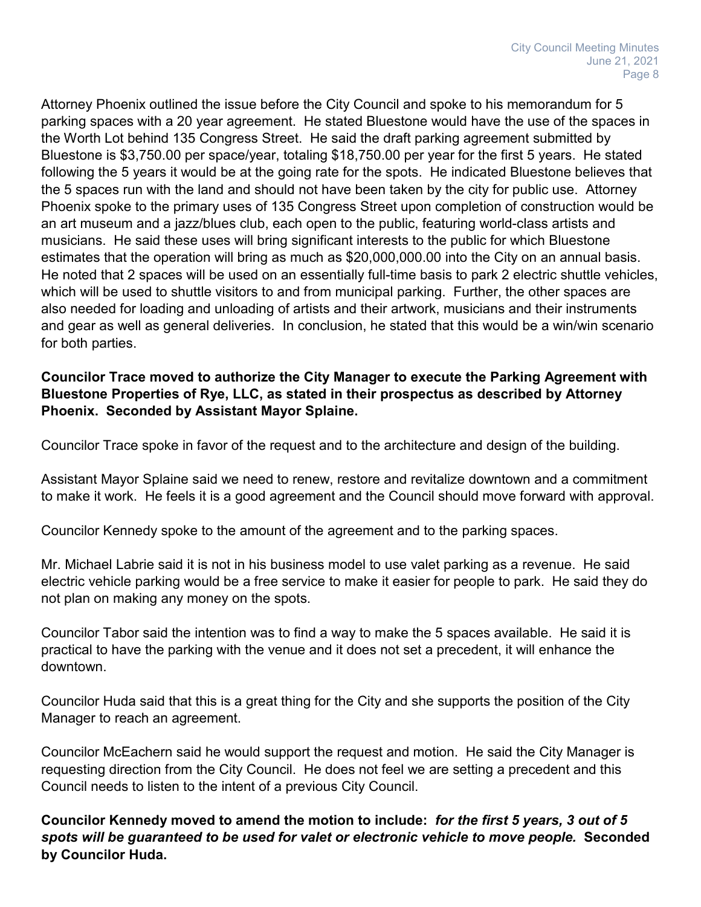Attorney Phoenix outlined the issue before the City Council and spoke to his memorandum for 5 parking spaces with a 20 year agreement. He stated Bluestone would have the use of the spaces in the Worth Lot behind 135 Congress Street. He said the draft parking agreement submitted by Bluestone is \$3,750.00 per space/year, totaling \$18,750.00 per year for the first 5 years. He stated following the 5 years it would be at the going rate for the spots. He indicated Bluestone believes that the 5 spaces run with the land and should not have been taken by the city for public use. Attorney Phoenix spoke to the primary uses of 135 Congress Street upon completion of construction would be an art museum and a jazz/blues club, each open to the public, featuring world-class artists and musicians. He said these uses will bring significant interests to the public for which Bluestone estimates that the operation will bring as much as \$20,000,000.00 into the City on an annual basis. He noted that 2 spaces will be used on an essentially full-time basis to park 2 electric shuttle vehicles, which will be used to shuttle visitors to and from municipal parking. Further, the other spaces are also needed for loading and unloading of artists and their artwork, musicians and their instruments and gear as well as general deliveries. In conclusion, he stated that this would be a win/win scenario for both parties.

### **Councilor Trace moved to authorize the City Manager to execute the Parking Agreement with Bluestone Properties of Rye, LLC, as stated in their prospectus as described by Attorney Phoenix. Seconded by Assistant Mayor Splaine.**

Councilor Trace spoke in favor of the request and to the architecture and design of the building.

Assistant Mayor Splaine said we need to renew, restore and revitalize downtown and a commitment to make it work. He feels it is a good agreement and the Council should move forward with approval.

Councilor Kennedy spoke to the amount of the agreement and to the parking spaces.

Mr. Michael Labrie said it is not in his business model to use valet parking as a revenue. He said electric vehicle parking would be a free service to make it easier for people to park. He said they do not plan on making any money on the spots.

Councilor Tabor said the intention was to find a way to make the 5 spaces available. He said it is practical to have the parking with the venue and it does not set a precedent, it will enhance the downtown.

Councilor Huda said that this is a great thing for the City and she supports the position of the City Manager to reach an agreement.

Councilor McEachern said he would support the request and motion. He said the City Manager is requesting direction from the City Council. He does not feel we are setting a precedent and this Council needs to listen to the intent of a previous City Council.

**Councilor Kennedy moved to amend the motion to include:** *for the first 5 years, 3 out of 5 spots will be guaranteed to be used for valet or electronic vehicle to move people.* **Seconded by Councilor Huda.**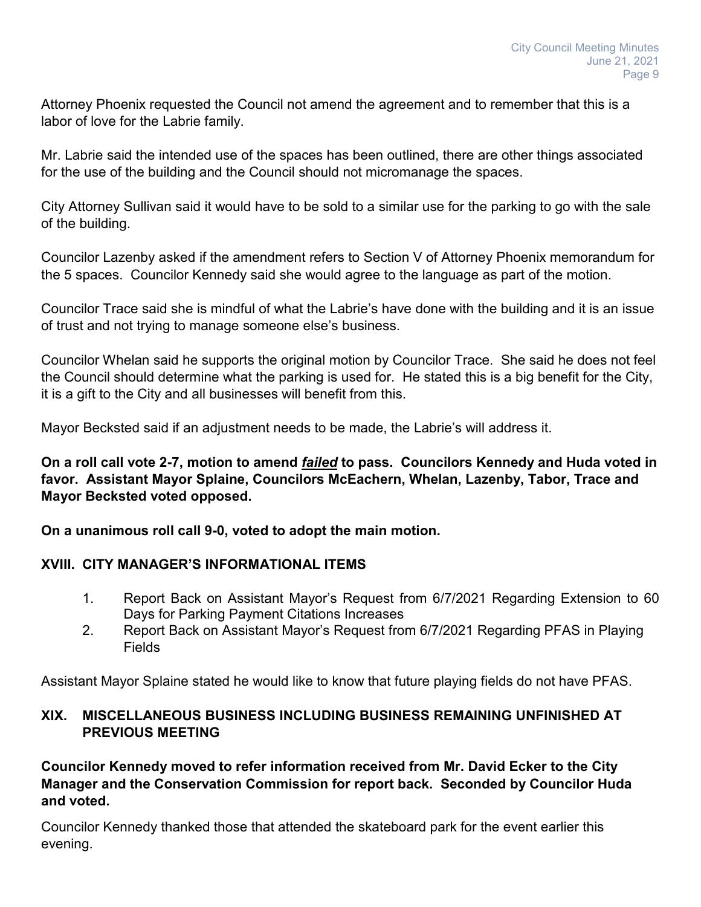Attorney Phoenix requested the Council not amend the agreement and to remember that this is a labor of love for the Labrie family.

Mr. Labrie said the intended use of the spaces has been outlined, there are other things associated for the use of the building and the Council should not micromanage the spaces.

City Attorney Sullivan said it would have to be sold to a similar use for the parking to go with the sale of the building.

Councilor Lazenby asked if the amendment refers to Section V of Attorney Phoenix memorandum for the 5 spaces. Councilor Kennedy said she would agree to the language as part of the motion.

Councilor Trace said she is mindful of what the Labrie's have done with the building and it is an issue of trust and not trying to manage someone else's business.

Councilor Whelan said he supports the original motion by Councilor Trace. She said he does not feel the Council should determine what the parking is used for. He stated this is a big benefit for the City, it is a gift to the City and all businesses will benefit from this.

Mayor Becksted said if an adjustment needs to be made, the Labrie's will address it.

**On a roll call vote 2-7, motion to amend** *failed* **to pass. Councilors Kennedy and Huda voted in favor. Assistant Mayor Splaine, Councilors McEachern, Whelan, Lazenby, Tabor, Trace and Mayor Becksted voted opposed.**

**On a unanimous roll call 9-0, voted to adopt the main motion.**

### **XVIII. CITY MANAGER'S INFORMATIONAL ITEMS**

- 1. Report Back on Assistant Mayor's Request from 6/7/2021 Regarding Extension to 60 Days for Parking Payment Citations Increases
- 2. Report Back on Assistant Mayor's Request from 6/7/2021 Regarding PFAS in Playing **Fields**

Assistant Mayor Splaine stated he would like to know that future playing fields do not have PFAS.

# **XIX. MISCELLANEOUS BUSINESS INCLUDING BUSINESS REMAINING UNFINISHED AT PREVIOUS MEETING**

**Councilor Kennedy moved to refer information received from Mr. David Ecker to the City Manager and the Conservation Commission for report back. Seconded by Councilor Huda and voted.**

Councilor Kennedy thanked those that attended the skateboard park for the event earlier this evening.